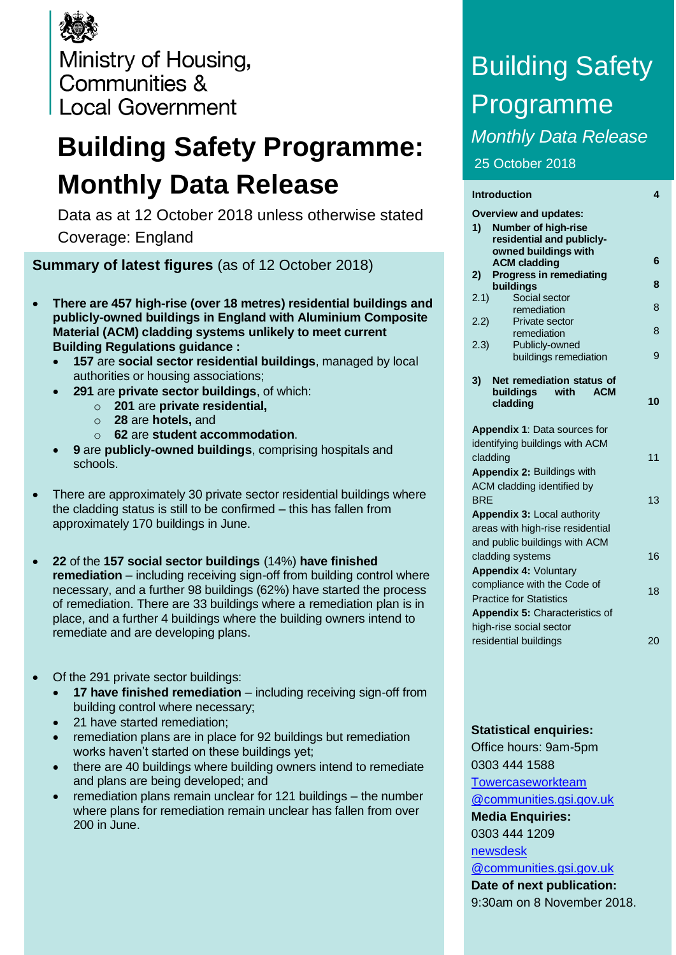Ministry of Housing, Communities & **Local Government** 

# **Building Safety Programme: Monthly Data Release**

Data as at 12 October 2018 unless otherwise stated Coverage: England

**Summary of latest figures** (as of 12 October 2018)

- **There are 457 high-rise (over 18 metres) residential buildings and publicly-owned buildings in England with Aluminium Composite Material (ACM) cladding systems unlikely to meet current Building Regulations guidance :**
	- **157** are **social sector residential buildings**, managed by local authorities or housing associations;
	- **291** are **private sector buildings**, of which:
		- o **201** are **private residential,**
		- o **28** are **hotels,** and
		- o **62** are **student accommodation**.
	- **9** are **publicly-owned buildings**, comprising hospitals and schools.
- There are approximately 30 private sector residential buildings where the cladding status is still to be confirmed – this has fallen from approximately 170 buildings in June.
- **22** of the **157 social sector buildings** (14%) **have finished remediation** – including receiving sign-off from building control where necessary, and a further 98 buildings (62%) have started the process of remediation. There are 33 buildings where a remediation plan is in place, and a further 4 buildings where the building owners intend to remediate and are developing plans.
- Of the 291 private sector buildings:
	- **17 have finished remediation**  including receiving sign-off from building control where necessary;
	- 21 have started remediation;
	- remediation plans are in place for 92 buildings but remediation works haven't started on these buildings yet;
	- there are 40 buildings where building owners intend to remediate and plans are being developed; and
	- remediation plans remain unclear for 121 buildings the number where plans for remediation remain unclear has fallen from over 200 in June.

# Building Safety Programme *Monthly Data Release* 25 October 2018

| <b>Introduction</b>                         | 4  |
|---------------------------------------------|----|
| <b>Overview and updates:</b>                |    |
| 1)<br><b>Number of high-rise</b>            |    |
| residential and publicly-                   |    |
| owned buildings with<br><b>ACM cladding</b> | 6  |
| <b>Progress in remediating</b><br>2)        |    |
| buildings                                   | 8  |
| Social sector<br>2.1)                       |    |
| remediation                                 | 8  |
| 2.2)<br>Private sector<br>remediation       | 8  |
| 2.3)<br>Publicly-owned                      |    |
| buildings remediation                       | 9  |
|                                             |    |
| Net remediation status of<br>3)             |    |
| buildings<br>with<br>ACM                    | 10 |
| cladding                                    |    |
| Appendix 1: Data sources for                |    |
| identifying buildings with ACM              |    |
| cladding                                    | 11 |
| Appendix 2: Buildings with                  |    |
| ACM cladding identified by                  |    |
| <b>BRF</b>                                  | 13 |
| Appendix 3: Local authority                 |    |
| areas with high-rise residential            |    |
| and public buildings with ACM               |    |
| cladding systems                            | 16 |
| <b>Appendix 4: Voluntary</b>                |    |
| compliance with the Code of                 |    |
| <b>Practice for Statistics</b>              | 18 |
| Appendix 5: Characteristics of              |    |
| high-rise social sector                     |    |
| residential buildings                       | 20 |
|                                             |    |

## **Statistical enquiries:**

Office hours: 9am-5pm 0303 444 1588 [Towercaseworkteam](mailto:Towercaseworkteam@communities.gsi.gov.uk) [@communities.gsi.gov.uk](mailto:Towercaseworkteam@communities.gsi.gov.uk) **Media Enquiries:** 0303 444 1209 [newsdesk](mailto:newsdesk@communities.gsi.gov.uk) [@communities.gsi.gov.uk](mailto:newsdesk@communities.gsi.gov.uk) **Date of next publication:**

9:30am on 8 November 2018.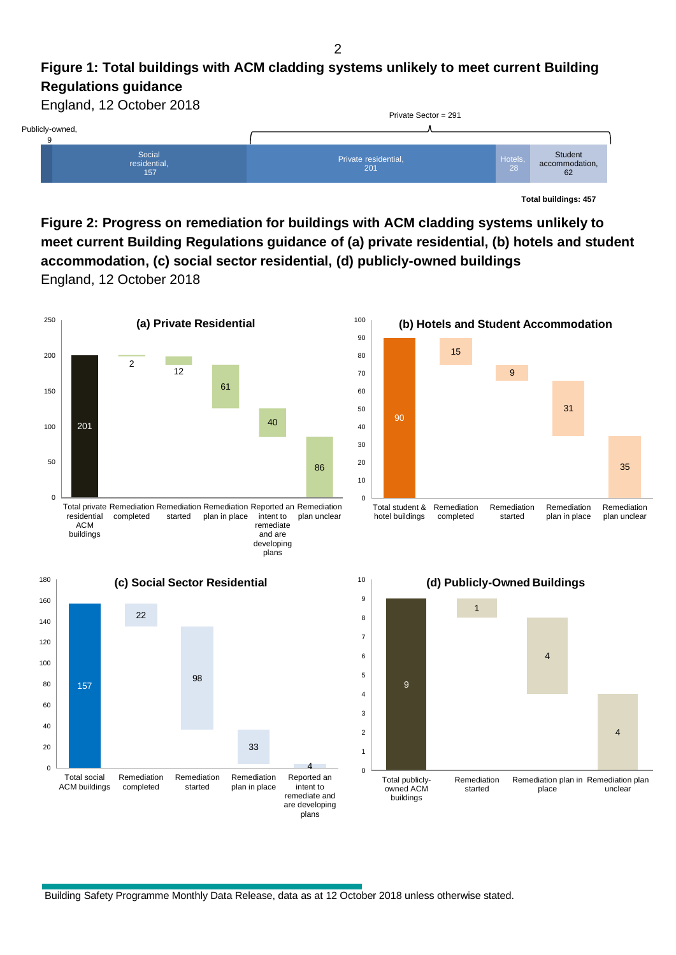#### $\overline{2}$

## **Figure 1: Total buildings with ACM cladding systems unlikely to meet current Building Regulations guidance**



**Total buildings: 457**

35

Remediation plan unclear

4

**Figure 2: Progress on remediation for buildings with ACM cladding systems unlikely to meet current Building Regulations guidance of (a) private residential, (b) hotels and student accommodation, (c) social sector residential, (d) publicly-owned buildings** England, 12 October 2018



intent to remediate and are developing plans

owned ACM buildings

Building Safety Programme Monthly Data Release, data as at 12 October 2018 unless otherwise stated.

plan in place

ACM buildings

completed

started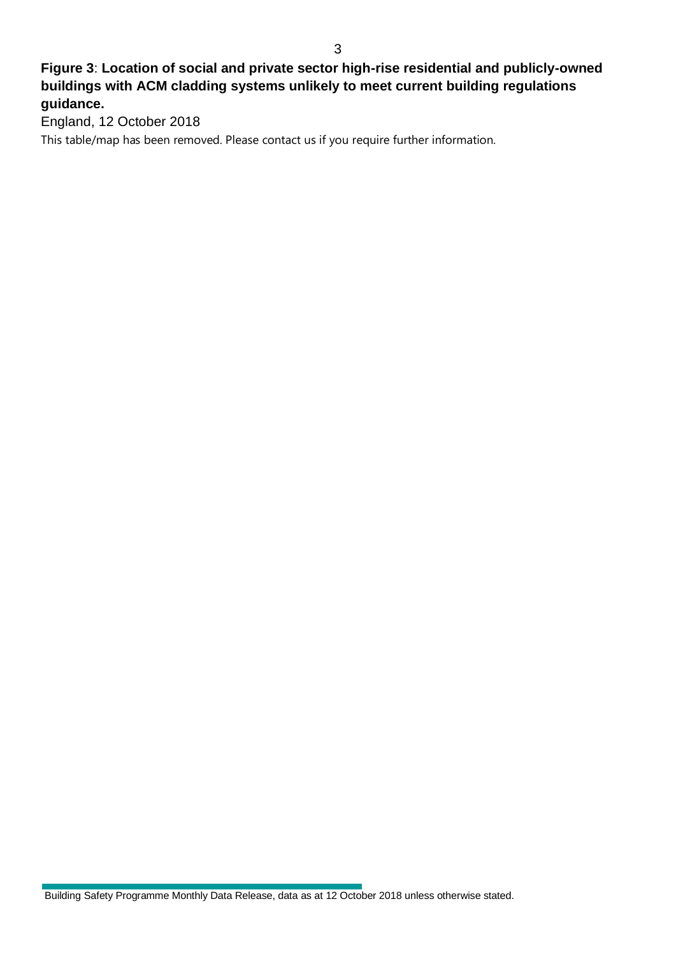## **Figure 3**: **Location of social and private sector high-rise residential and publicly-owned buildings with ACM cladding systems unlikely to meet current building regulations guidance.**

England, 12 October 2018

This table/map has been removed. Please contact us if you require further information.

Building Safety Programme Monthly Data Release, data as at 12 October 2018 unless otherwise stated.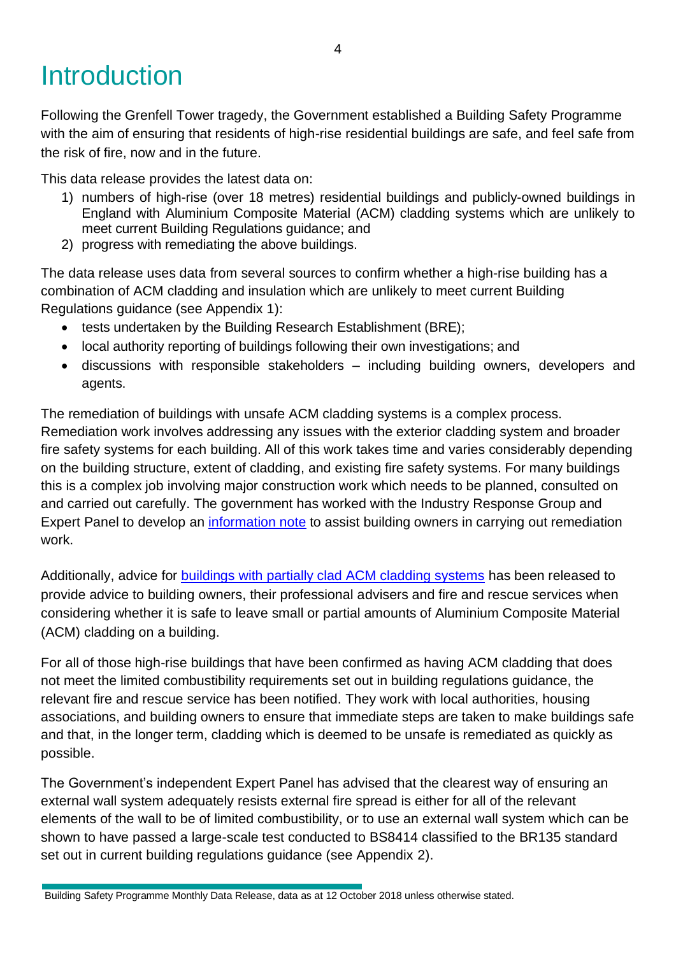# **Introduction**

Following the Grenfell Tower tragedy, the Government established a Building Safety Programme with the aim of ensuring that residents of high-rise residential buildings are safe, and feel safe from the risk of fire, now and in the future.

This data release provides the latest data on:

- 1) numbers of high-rise (over 18 metres) residential buildings and publicly-owned buildings in England with Aluminium Composite Material (ACM) cladding systems which are unlikely to meet current Building Regulations guidance; and
- 2) progress with remediating the above buildings.

The data release uses data from several sources to confirm whether a high-rise building has a combination of ACM cladding and insulation which are unlikely to meet current Building Regulations guidance (see Appendix 1):

- tests undertaken by the Building Research Establishment (BRE);
- local authority reporting of buildings following their own investigations; and
- discussions with responsible stakeholders including building owners, developers and agents.

The remediation of buildings with unsafe ACM cladding systems is a complex process. Remediation work involves addressing any issues with the exterior cladding system and broader fire safety systems for each building. All of this work takes time and varies considerably depending on the building structure, extent of cladding, and existing fire safety systems. For many buildings this is a complex job involving major construction work which needs to be planned, consulted on and carried out carefully. The government has worked with the Industry Response Group and Expert Panel to develop an [information note](https://www.gov.uk/government/publications/information-note-for-landlords-and-building-owners-of-tall-residential-buildings-with-acm-cladding) to assist building owners in carrying out remediation work.

Additionally, advice for **buildings with partially clad ACM cladding systems** has been released to provide advice to building owners, their professional advisers and fire and rescue services when considering whether it is safe to leave small or partial amounts of Aluminium Composite Material (ACM) cladding on a building.

For all of those high-rise buildings that have been confirmed as having ACM cladding that does not meet the limited combustibility requirements set out in building regulations guidance, the relevant fire and rescue service has been notified. They work with local authorities, housing associations, and building owners to ensure that immediate steps are taken to make buildings safe and that, in the longer term, cladding which is deemed to be unsafe is remediated as quickly as possible.

The Government's independent Expert Panel has advised that the clearest way of ensuring an external wall system adequately resists external fire spread is either for all of the relevant elements of the wall to be of limited combustibility, or to use an external wall system which can be shown to have passed a large-scale test conducted to BS8414 classified to the BR135 standard set out in current building regulations guidance (see Appendix 2).

Building Safety Programme Monthly Data Release, data as at 12 October 2018 unless otherwise stated.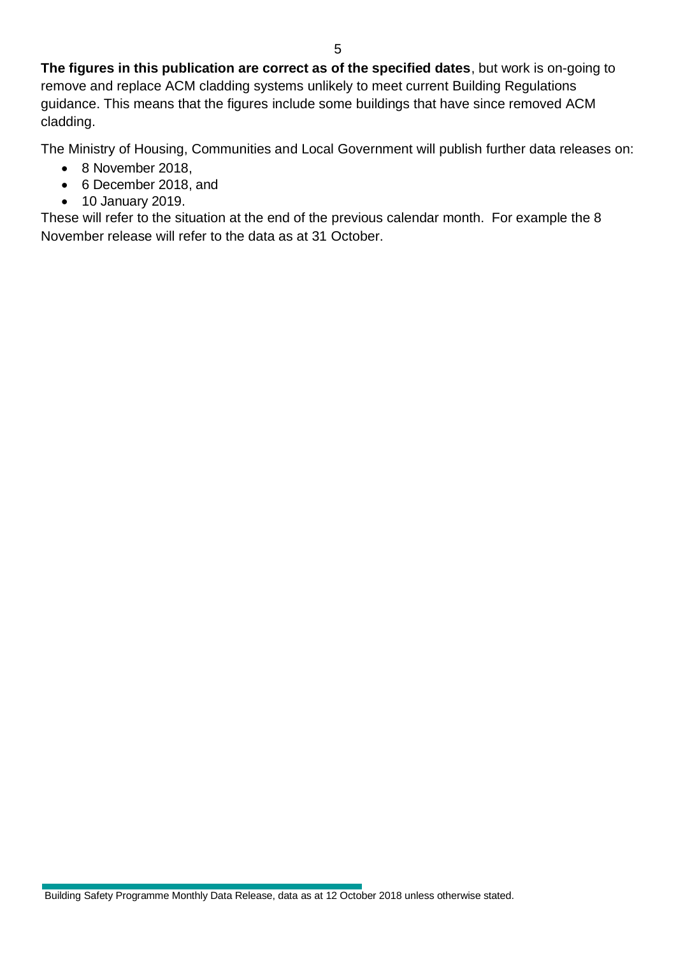The Ministry of Housing, Communities and Local Government will publish further data releases on:

- 8 November 2018,
- 6 December 2018, and
- 10 January 2019.

These will refer to the situation at the end of the previous calendar month. For example the 8 November release will refer to the data as at 31 October.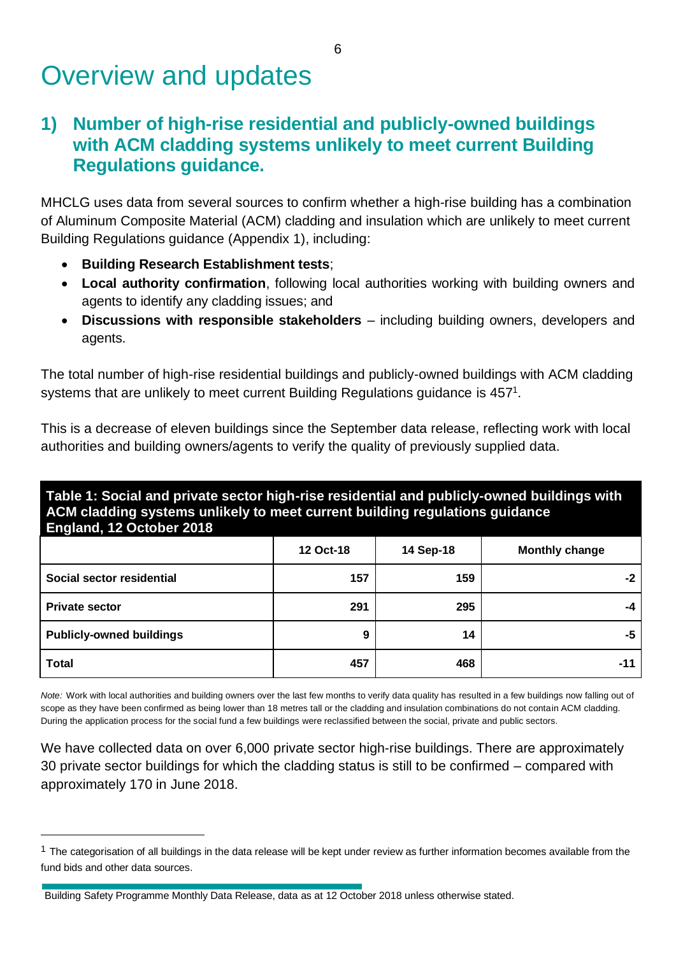# Overview and updates

## **1) Number of high-rise residential and publicly-owned buildings with ACM cladding systems unlikely to meet current Building Regulations guidance.**

MHCLG uses data from several sources to confirm whether a high-rise building has a combination of Aluminum Composite Material (ACM) cladding and insulation which are unlikely to meet current Building Regulations guidance (Appendix 1), including:

- **Building Research Establishment tests**;
- **Local authority confirmation**, following local authorities working with building owners and agents to identify any cladding issues; and
- **Discussions with responsible stakeholders** including building owners, developers and agents.

The total number of high-rise residential buildings and publicly-owned buildings with ACM cladding systems that are unlikely to meet current Building Regulations guidance is 457<sup>1</sup>.

This is a decrease of eleven buildings since the September data release, reflecting work with local authorities and building owners/agents to verify the quality of previously supplied data.

**Table 1: Social and private sector high-rise residential and publicly-owned buildings with ACM cladding systems unlikely to meet current building regulations guidance England, 12 October 2018**

|                                 | 12 Oct-18 | 14 Sep-18 | <b>Monthly change</b> |
|---------------------------------|-----------|-----------|-----------------------|
| Social sector residential       | 157       | 159       | -2                    |
| <b>Private sector</b>           | 291       | 295       | -4                    |
| <b>Publicly-owned buildings</b> | 9         | 14        | -5                    |
| <b>Total</b>                    | 457       | 468       | -11                   |

*Note:* Work with local authorities and building owners over the last few months to verify data quality has resulted in a few buildings now falling out of scope as they have been confirmed as being lower than 18 metres tall or the cladding and insulation combinations do not contain ACM cladding. During the application process for the social fund a few buildings were reclassified between the social, private and public sectors.

We have collected data on over 6,000 private sector high-rise buildings. There are approximately 30 private sector buildings for which the cladding status is still to be confirmed – compared with approximately 170 in June 2018.

 $1$  The categorisation of all buildings in the data release will be kept under review as further information becomes available from the fund bids and other data sources.

Building Safety Programme Monthly Data Release, data as at 12 October 2018 unless otherwise stated.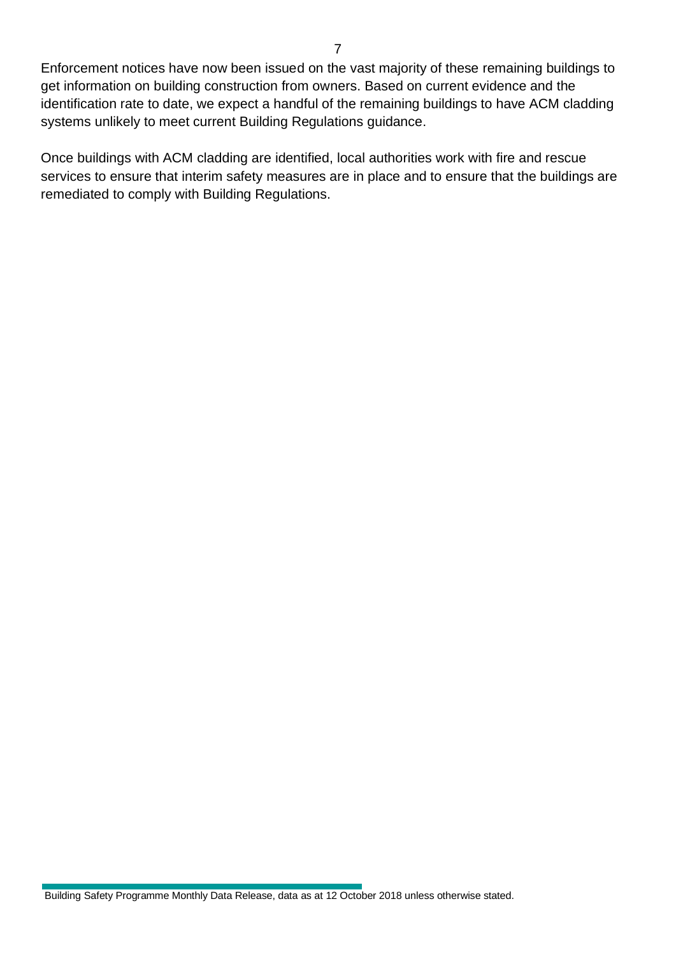Enforcement notices have now been issued on the vast majority of these remaining buildings to get information on building construction from owners. Based on current evidence and the identification rate to date, we expect a handful of the remaining buildings to have ACM cladding systems unlikely to meet current Building Regulations guidance.

Once buildings with ACM cladding are identified, local authorities work with fire and rescue services to ensure that interim safety measures are in place and to ensure that the buildings are remediated to comply with Building Regulations.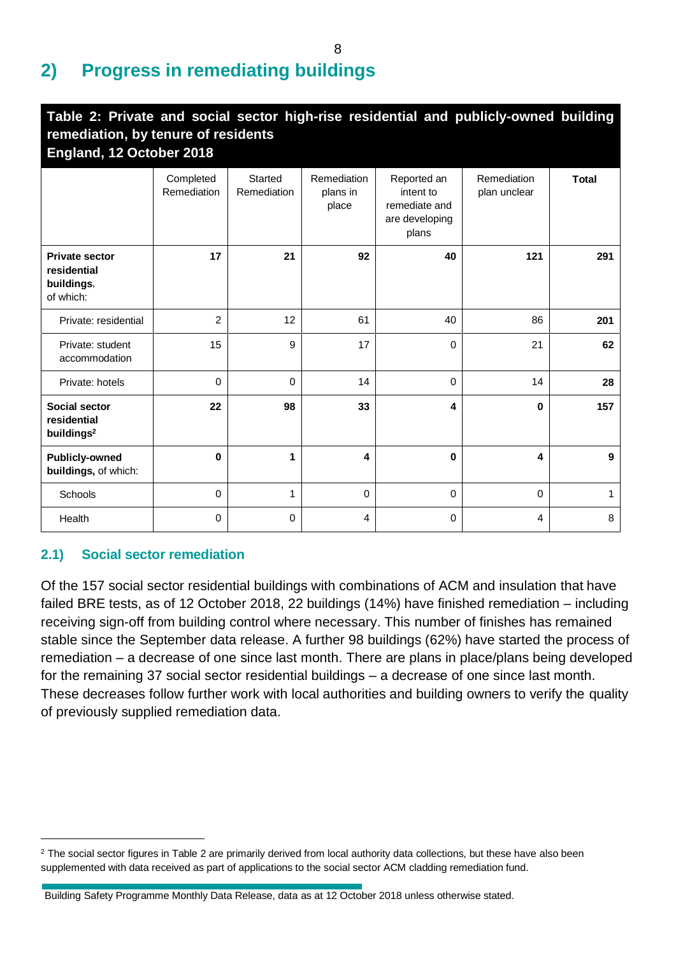## **2) Progress in remediating buildings**

| Table 2: Private and social sector high-rise residential and publicly-owned building<br>remediation, by tenure of residents<br>England, 12 October 2018 |                          |                        |                                  |                                                                      |                             |              |
|---------------------------------------------------------------------------------------------------------------------------------------------------------|--------------------------|------------------------|----------------------------------|----------------------------------------------------------------------|-----------------------------|--------------|
|                                                                                                                                                         | Completed<br>Remediation | Started<br>Remediation | Remediation<br>plans in<br>place | Reported an<br>intent to<br>remediate and<br>are developing<br>plans | Remediation<br>plan unclear | <b>Total</b> |
| <b>Private sector</b><br>residential<br>buildings,<br>of which:                                                                                         | 17                       | 21                     | 92                               | 40                                                                   | 121                         | 291          |
| Private: residential                                                                                                                                    | $\overline{2}$           | 12                     | 61                               | 40                                                                   | 86                          | 201          |
| Private: student<br>accommodation                                                                                                                       | 15                       | 9                      | 17                               | 0                                                                    | 21                          | 62           |
| Private: hotels                                                                                                                                         | 0                        | 0                      | 14                               | $\mathbf 0$                                                          | 14                          | 28           |
| Social sector<br>residential<br>buildings <sup>2</sup>                                                                                                  | 22                       | 98                     | 33                               | 4                                                                    | $\mathbf 0$                 | 157          |
| <b>Publicly-owned</b><br>buildings, of which:                                                                                                           | 0                        | 1                      | 4                                | 0                                                                    | 4                           | 9            |
| Schools                                                                                                                                                 | 0                        | 1                      | $\mathbf 0$                      | $\mathbf 0$                                                          | $\mathbf 0$                 | 1            |
| Health                                                                                                                                                  | 0                        | 0                      | 4                                | 0                                                                    | $\overline{4}$              | 8            |

## **2.1) Social sector remediation**

Of the 157 social sector residential buildings with combinations of ACM and insulation that have failed BRE tests, as of 12 October 2018, 22 buildings (14%) have finished remediation – including receiving sign-off from building control where necessary. This number of finishes has remained stable since the September data release. A further 98 buildings (62%) have started the process of remediation – a decrease of one since last month. There are plans in place/plans being developed for the remaining 37 social sector residential buildings – a decrease of one since last month. These decreases follow further work with local authorities and building owners to verify the quality of previously supplied remediation data.

 $2$  The social sector figures in Table 2 are primarily derived from local authority data collections, but these have also been supplemented with data received as part of applications to the social sector ACM cladding remediation fund.

Building Safety Programme Monthly Data Release, data as at 12 October 2018 unless otherwise stated.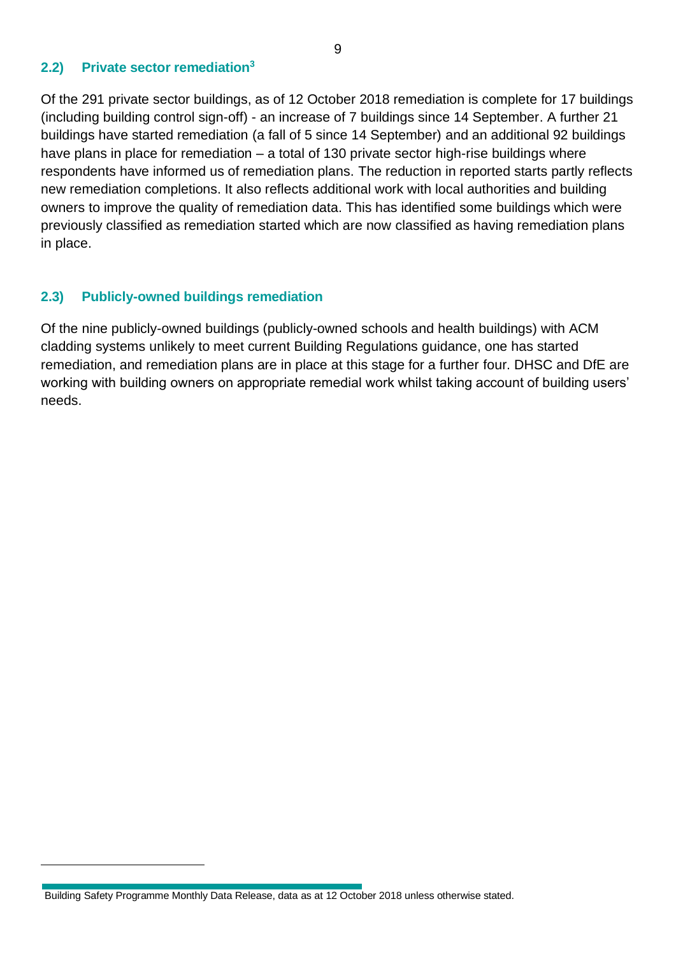### **2.2) Private sector remediation<sup>3</sup>**

Of the 291 private sector buildings, as of 12 October 2018 remediation is complete for 17 buildings (including building control sign-off) - an increase of 7 buildings since 14 September. A further 21 buildings have started remediation (a fall of 5 since 14 September) and an additional 92 buildings have plans in place for remediation – a total of 130 private sector high-rise buildings where respondents have informed us of remediation plans. The reduction in reported starts partly reflects new remediation completions. It also reflects additional work with local authorities and building owners to improve the quality of remediation data. This has identified some buildings which were previously classified as remediation started which are now classified as having remediation plans in place.

## **2.3) Publicly-owned buildings remediation**

Of the nine publicly-owned buildings (publicly-owned schools and health buildings) with ACM cladding systems unlikely to meet current Building Regulations guidance, one has started remediation, and remediation plans are in place at this stage for a further four. DHSC and DfE are working with building owners on appropriate remedial work whilst taking account of building users' needs.

Building Safety Programme Monthly Data Release, data as at 12 October 2018 unless otherwise stated.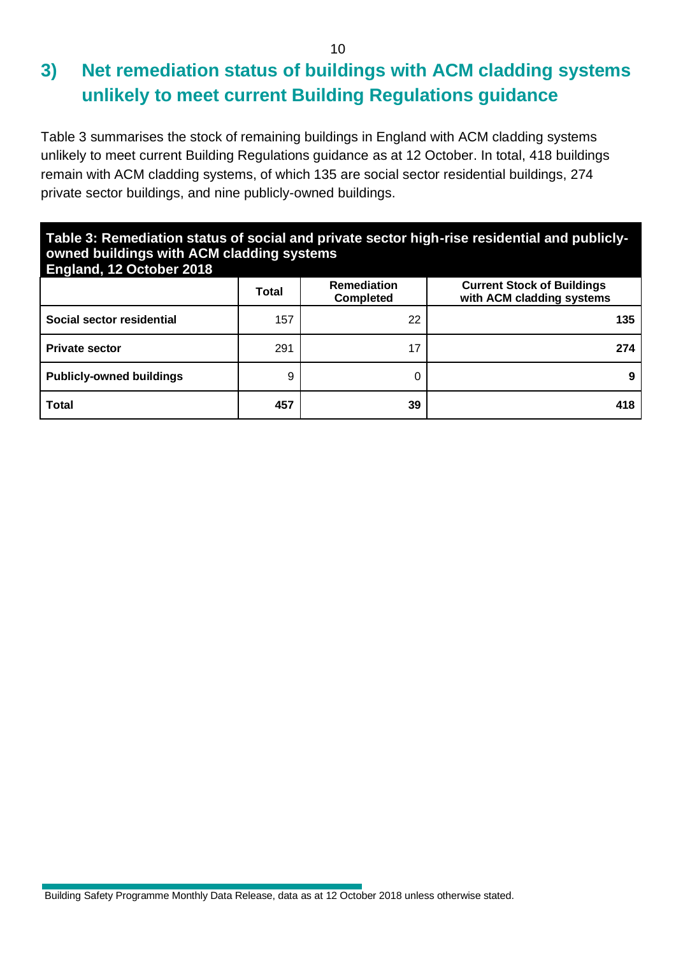## **3) Net remediation status of buildings with ACM cladding systems unlikely to meet current Building Regulations guidance**

Table 3 summarises the stock of remaining buildings in England with ACM cladding systems unlikely to meet current Building Regulations guidance as at 12 October. In total, 418 buildings remain with ACM cladding systems, of which 135 are social sector residential buildings, 274 private sector buildings, and nine publicly-owned buildings.

## **Table 3: Remediation status of social and private sector high-rise residential and publiclyowned buildings with ACM cladding systems**

| <b>England, 12 October 2018</b> |              |                                        |                                                                |
|---------------------------------|--------------|----------------------------------------|----------------------------------------------------------------|
|                                 | <b>Total</b> | <b>Remediation</b><br><b>Completed</b> | <b>Current Stock of Buildings</b><br>with ACM cladding systems |
| Social sector residential       | 157          | 22                                     | 135                                                            |
| <b>Private sector</b>           | 291          | 17                                     | 274                                                            |
| <b>Publicly-owned buildings</b> | 9            |                                        |                                                                |
| <b>Total</b>                    | 457          | 39                                     | 418                                                            |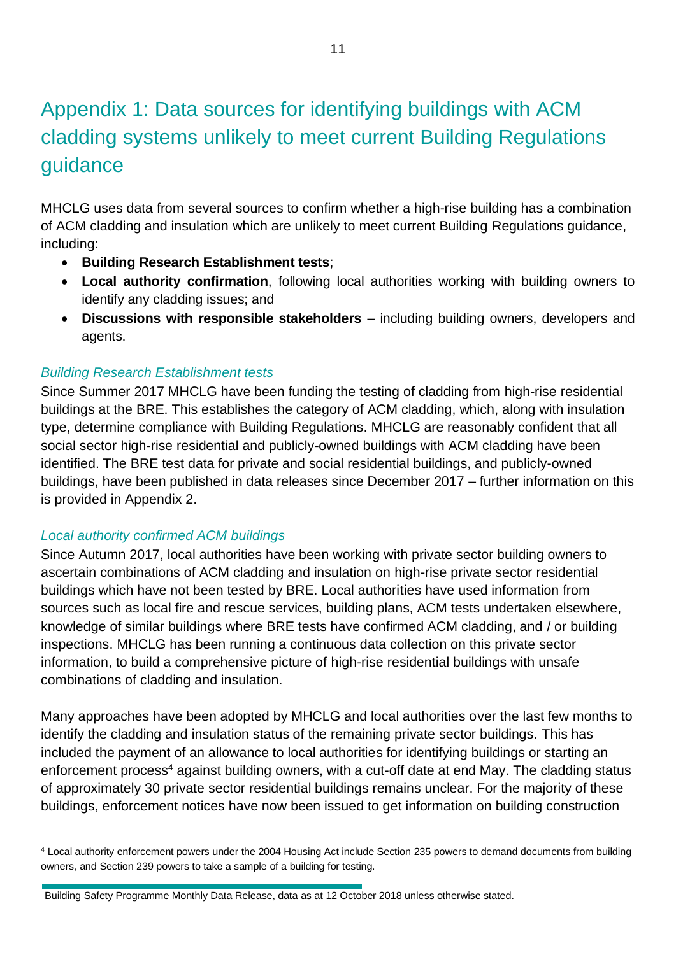# Appendix 1: Data sources for identifying buildings with ACM cladding systems unlikely to meet current Building Regulations guidance

MHCLG uses data from several sources to confirm whether a high-rise building has a combination of ACM cladding and insulation which are unlikely to meet current Building Regulations guidance, including:

- **Building Research Establishment tests**;
- **Local authority confirmation**, following local authorities working with building owners to identify any cladding issues; and
- **Discussions with responsible stakeholders** including building owners, developers and agents.

## *Building Research Establishment tests*

Since Summer 2017 MHCLG have been funding the testing of cladding from high-rise residential buildings at the BRE. This establishes the category of ACM cladding, which, along with insulation type, determine compliance with Building Regulations. MHCLG are reasonably confident that all social sector high-rise residential and publicly-owned buildings with ACM cladding have been identified. The BRE test data for private and social residential buildings, and publicly-owned buildings, have been published in data releases since December 2017 – further information on this is provided in Appendix 2.

## *Local authority confirmed ACM buildings*

Since Autumn 2017, local authorities have been working with private sector building owners to ascertain combinations of ACM cladding and insulation on high-rise private sector residential buildings which have not been tested by BRE. Local authorities have used information from sources such as local fire and rescue services, building plans, ACM tests undertaken elsewhere, knowledge of similar buildings where BRE tests have confirmed ACM cladding, and / or building inspections. MHCLG has been running a continuous data collection on this private sector information, to build a comprehensive picture of high-rise residential buildings with unsafe combinations of cladding and insulation.

Many approaches have been adopted by MHCLG and local authorities over the last few months to identify the cladding and insulation status of the remaining private sector buildings. This has included the payment of an allowance to local authorities for identifying buildings or starting an enforcement process<sup>4</sup> against building owners, with a cut-off date at end May. The cladding status of approximately 30 private sector residential buildings remains unclear. For the majority of these buildings, enforcement notices have now been issued to get information on building construction

<sup>4</sup> Local authority enforcement powers under the 2004 Housing Act include Section 235 powers to demand documents from building owners, and Section 239 powers to take a sample of a building for testing.

Building Safety Programme Monthly Data Release, data as at 12 October 2018 unless otherwise stated.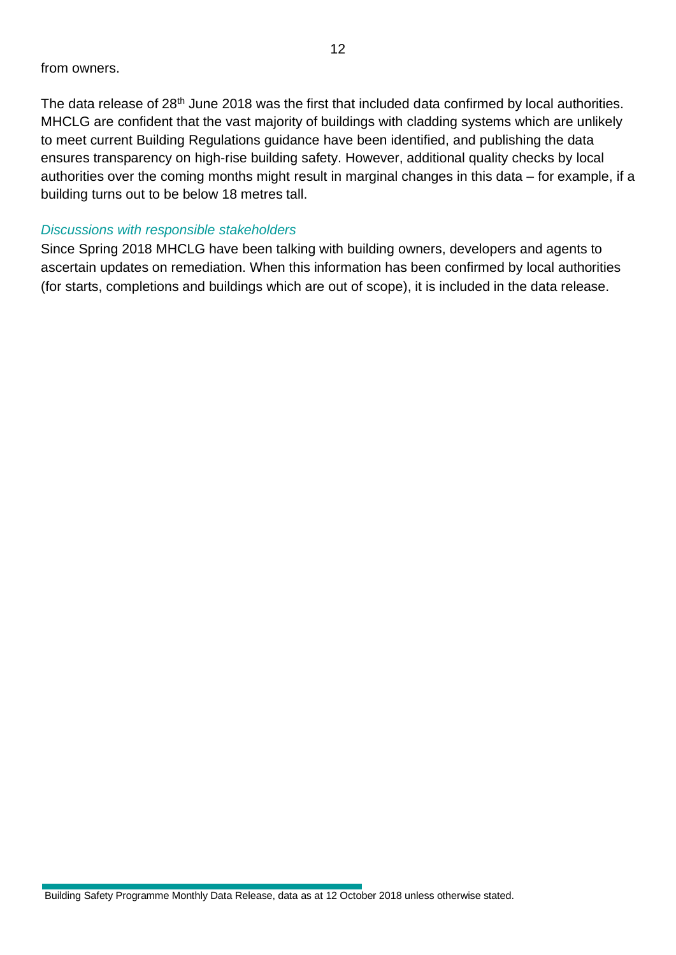The data release of 28<sup>th</sup> June 2018 was the first that included data confirmed by local authorities. MHCLG are confident that the vast majority of buildings with cladding systems which are unlikely to meet current Building Regulations guidance have been identified, and publishing the data ensures transparency on high-rise building safety. However, additional quality checks by local authorities over the coming months might result in marginal changes in this data – for example, if a building turns out to be below 18 metres tall.

### *Discussions with responsible stakeholders*

Since Spring 2018 MHCLG have been talking with building owners, developers and agents to ascertain updates on remediation. When this information has been confirmed by local authorities (for starts, completions and buildings which are out of scope), it is included in the data release.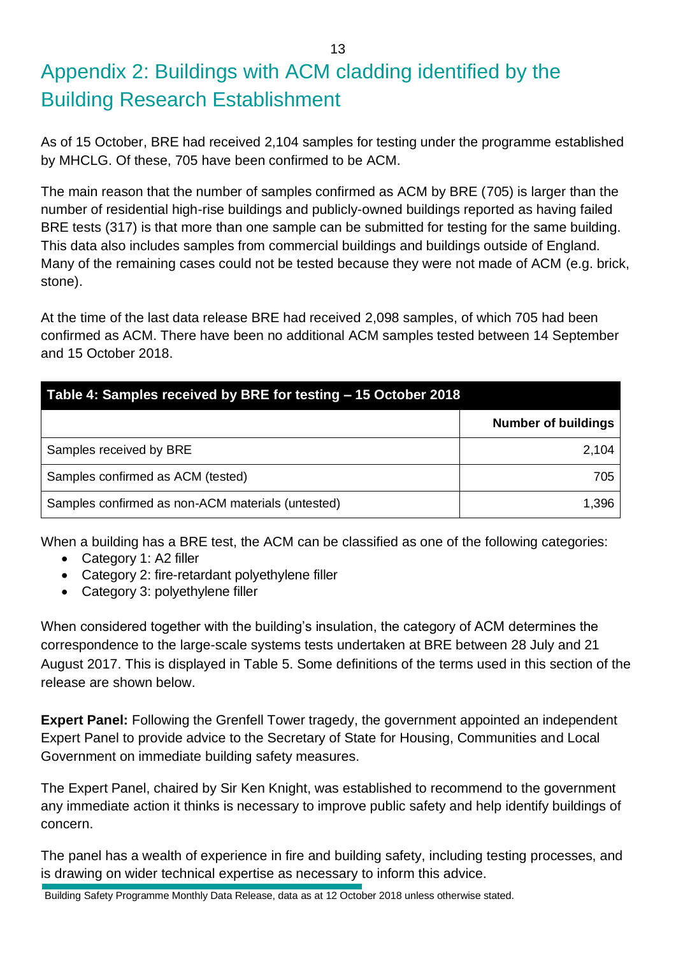# Appendix 2: Buildings with ACM cladding identified by the Building Research Establishment

As of 15 October, BRE had received 2,104 samples for testing under the programme established by MHCLG. Of these, 705 have been confirmed to be ACM.

The main reason that the number of samples confirmed as ACM by BRE (705) is larger than the number of residential high-rise buildings and publicly-owned buildings reported as having failed BRE tests (317) is that more than one sample can be submitted for testing for the same building. This data also includes samples from commercial buildings and buildings outside of England. Many of the remaining cases could not be tested because they were not made of ACM (e.g. brick, stone).

At the time of the last data release BRE had received 2,098 samples, of which 705 had been confirmed as ACM. There have been no additional ACM samples tested between 14 September and 15 October 2018.

| Table 4: Samples received by BRE for testing - 15 October 2018 |                            |  |
|----------------------------------------------------------------|----------------------------|--|
|                                                                | <b>Number of buildings</b> |  |
| Samples received by BRE                                        | 2,104                      |  |
| Samples confirmed as ACM (tested)                              | 705                        |  |
| Samples confirmed as non-ACM materials (untested)              | 1,396                      |  |

When a building has a BRE test, the ACM can be classified as one of the following categories:

- Category 1: A2 filler
- Category 2: fire-retardant polyethylene filler
- Category 3: polyethylene filler

When considered together with the building's insulation, the category of ACM determines the correspondence to the large-scale systems tests undertaken at BRE between 28 July and 21 August 2017. This is displayed in Table 5. Some definitions of the terms used in this section of the release are shown below.

**Expert Panel:** Following the Grenfell Tower tragedy, the government appointed an independent Expert Panel to provide advice to the Secretary of State for Housing, Communities and Local Government on immediate building safety measures.

The Expert Panel, chaired by Sir Ken Knight, was established to recommend to the government any immediate action it thinks is necessary to improve public safety and help identify buildings of concern.

The panel has a wealth of experience in fire and building safety, including testing processes, and is drawing on wider technical expertise as necessary to inform this advice.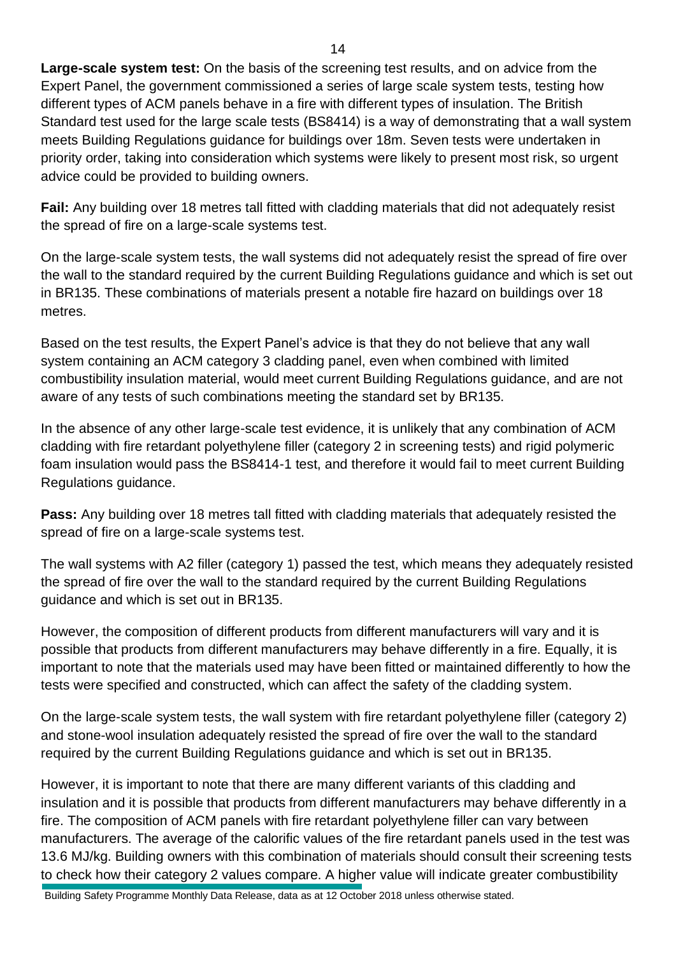**Large-scale system test:** On the basis of the screening test results, and on advice from the Expert Panel, the government commissioned a series of large scale system tests, testing how different types of ACM panels behave in a fire with different types of insulation. The British Standard test used for the large scale tests (BS8414) is a way of demonstrating that a wall system meets Building Regulations guidance for buildings over 18m. Seven tests were undertaken in priority order, taking into consideration which systems were likely to present most risk, so urgent advice could be provided to building owners.

**Fail:** Any building over 18 metres tall fitted with cladding materials that did not adequately resist the spread of fire on a large-scale systems test.

On the large-scale system tests, the wall systems did not adequately resist the spread of fire over the wall to the standard required by the current Building Regulations guidance and which is set out in BR135. These combinations of materials present a notable fire hazard on buildings over 18 metres.

Based on the test results, the Expert Panel's advice is that they do not believe that any wall system containing an ACM category 3 cladding panel, even when combined with limited combustibility insulation material, would meet current Building Regulations guidance, and are not aware of any tests of such combinations meeting the standard set by BR135.

In the absence of any other large-scale test evidence, it is unlikely that any combination of ACM cladding with fire retardant polyethylene filler (category 2 in screening tests) and rigid polymeric foam insulation would pass the BS8414-1 test, and therefore it would fail to meet current Building Regulations guidance.

**Pass:** Any building over 18 metres tall fitted with cladding materials that adequately resisted the spread of fire on a large-scale systems test.

The wall systems with A2 filler (category 1) passed the test, which means they adequately resisted the spread of fire over the wall to the standard required by the current Building Regulations guidance and which is set out in BR135.

However, the composition of different products from different manufacturers will vary and it is possible that products from different manufacturers may behave differently in a fire. Equally, it is important to note that the materials used may have been fitted or maintained differently to how the tests were specified and constructed, which can affect the safety of the cladding system.

On the large-scale system tests, the wall system with fire retardant polyethylene filler (category 2) and stone-wool insulation adequately resisted the spread of fire over the wall to the standard required by the current Building Regulations guidance and which is set out in BR135.

However, it is important to note that there are many different variants of this cladding and insulation and it is possible that products from different manufacturers may behave differently in a fire. The composition of ACM panels with fire retardant polyethylene filler can vary between manufacturers. The average of the calorific values of the fire retardant panels used in the test was 13.6 MJ/kg. Building owners with this combination of materials should consult their screening tests to check how their category 2 values compare. A higher value will indicate greater combustibility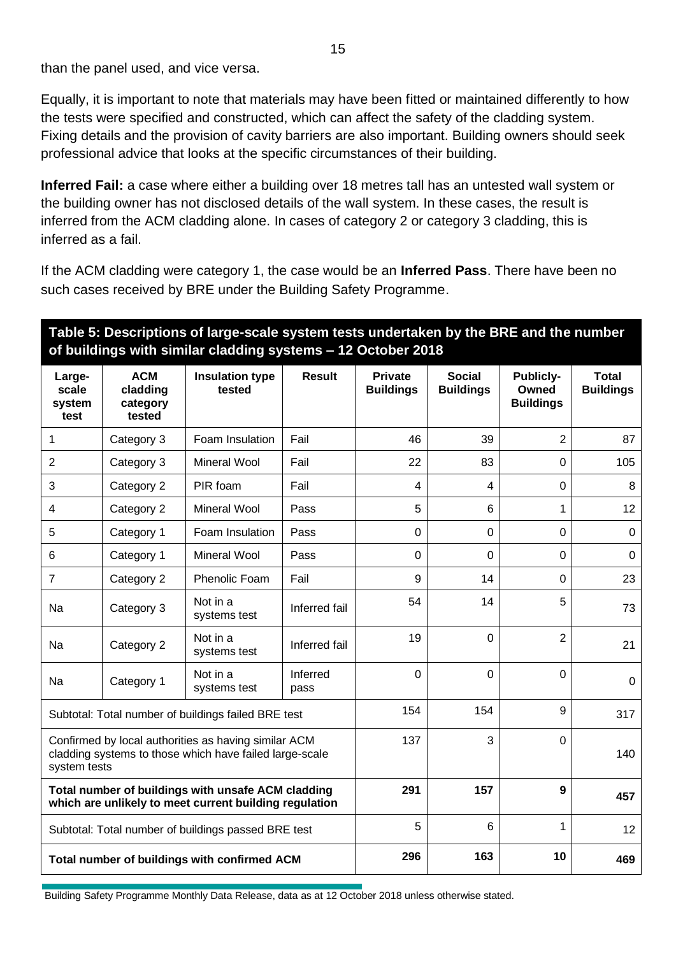than the panel used, and vice versa.

Equally, it is important to note that materials may have been fitted or maintained differently to how the tests were specified and constructed, which can affect the safety of the cladding system. Fixing details and the provision of cavity barriers are also important. Building owners should seek professional advice that looks at the specific circumstances of their building.

**Inferred Fail:** a case where either a building over 18 metres tall has an untested wall system or the building owner has not disclosed details of the wall system. In these cases, the result is inferred from the ACM cladding alone. In cases of category 2 or category 3 cladding, this is inferred as a fail.

If the ACM cladding were category 1, the case would be an **Inferred Pass**. There have been no such cases received by BRE under the Building Safety Programme.

## **Table 5: Descriptions of large-scale system tests undertaken by the BRE and the number of buildings with similar cladding systems – 12 October 2018**

| Large-<br>scale<br>system<br>test                                                                                               | <b>ACM</b><br>cladding<br>category<br>tested | <b>Insulation type</b><br>tested | <b>Result</b>    | <b>Private</b><br><b>Buildings</b> | <b>Social</b><br><b>Buildings</b> | <b>Publicly-</b><br>Owned<br><b>Buildings</b> | <b>Total</b><br><b>Buildings</b> |
|---------------------------------------------------------------------------------------------------------------------------------|----------------------------------------------|----------------------------------|------------------|------------------------------------|-----------------------------------|-----------------------------------------------|----------------------------------|
| 1                                                                                                                               | Category 3                                   | Foam Insulation                  | Fail             | 46                                 | 39                                | $\overline{2}$                                | 87                               |
| 2                                                                                                                               | Category 3                                   | <b>Mineral Wool</b>              | Fail             | 22                                 | 83                                | $\mathbf 0$                                   | 105                              |
| 3                                                                                                                               | Category 2                                   | PIR foam                         | Fail             | 4                                  | 4                                 | 0                                             | 8                                |
| 4                                                                                                                               | Category 2                                   | <b>Mineral Wool</b>              | Pass             | 5                                  | 6                                 | 1                                             | 12                               |
| 5                                                                                                                               | Category 1                                   | Foam Insulation                  | Pass             | $\mathbf 0$                        | 0                                 | 0                                             | 0                                |
| 6                                                                                                                               | Category 1                                   | <b>Mineral Wool</b>              | Pass             | $\mathbf{0}$                       | $\mathbf 0$                       | $\overline{0}$                                | $\mathbf 0$                      |
| 7                                                                                                                               | Category 2                                   | Phenolic Foam                    | Fail             | 9                                  | 14                                | 0                                             | 23                               |
| Na                                                                                                                              | Category 3                                   | Not in a<br>systems test         | Inferred fail    | 54                                 | 14                                | 5                                             | 73                               |
| <b>Na</b>                                                                                                                       | Category 2                                   | Not in a<br>systems test         | Inferred fail    | 19                                 | $\mathbf 0$                       | $\overline{2}$                                | 21                               |
| Na                                                                                                                              | Category 1                                   | Not in a<br>systems test         | Inferred<br>pass | $\Omega$                           | $\overline{0}$                    | $\overline{0}$                                | $\mathbf{0}$                     |
| Subtotal: Total number of buildings failed BRE test                                                                             |                                              |                                  | 154              | 154                                | 9                                 | 317                                           |                                  |
| Confirmed by local authorities as having similar ACM<br>cladding systems to those which have failed large-scale<br>system tests |                                              |                                  | 137              | 3                                  | 0                                 | 140                                           |                                  |
| Total number of buildings with unsafe ACM cladding<br>which are unlikely to meet current building regulation                    |                                              |                                  | 291              | 157                                | 9                                 | 457                                           |                                  |
| Subtotal: Total number of buildings passed BRE test                                                                             |                                              |                                  | 5                | 6                                  | 1                                 | 12                                            |                                  |
| Total number of buildings with confirmed ACM                                                                                    |                                              |                                  | 296              | 163                                | 10                                | 469                                           |                                  |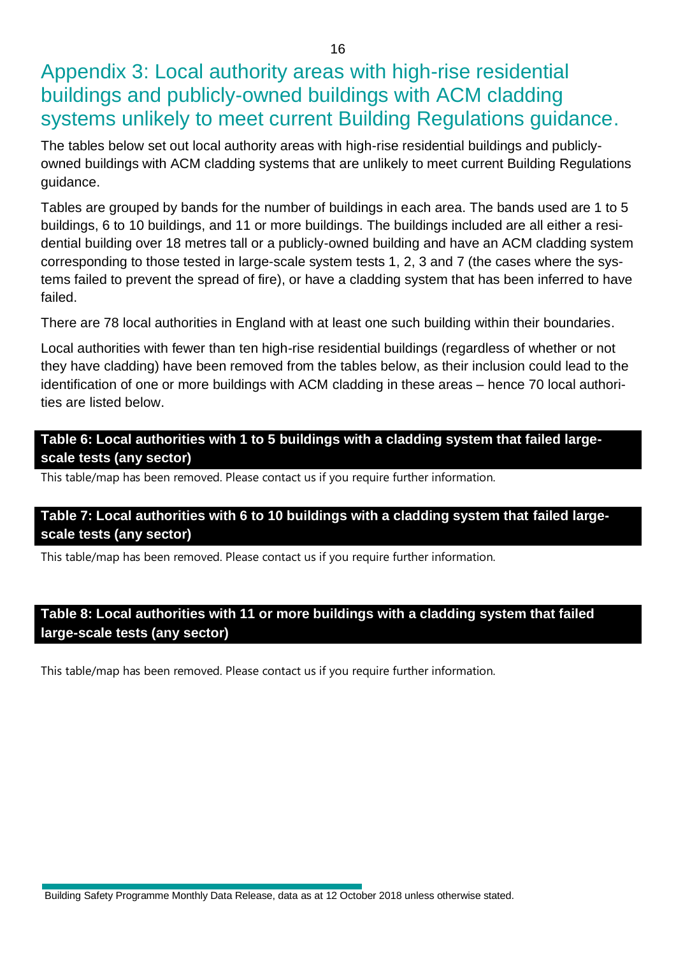Appendix 3: Local authority areas with high-rise residential buildings and publicly-owned buildings with ACM cladding systems unlikely to meet current Building Regulations guidance.

The tables below set out local authority areas with high-rise residential buildings and publiclyowned buildings with ACM cladding systems that are unlikely to meet current Building Regulations guidance.

Tables are grouped by bands for the number of buildings in each area. The bands used are 1 to 5 buildings, 6 to 10 buildings, and 11 or more buildings. The buildings included are all either a residential building over 18 metres tall or a publicly-owned building and have an ACM cladding system corresponding to those tested in large-scale system tests 1, 2, 3 and 7 (the cases where the systems failed to prevent the spread of fire), or have a cladding system that has been inferred to have failed.

There are 78 local authorities in England with at least one such building within their boundaries.

Local authorities with fewer than ten high-rise residential buildings (regardless of whether or not they have cladding) have been removed from the tables below, as their inclusion could lead to the identification of one or more buildings with ACM cladding in these areas – hence 70 local authorities are listed below.

**Table 6: Local authorities with 1 to 5 buildings with a cladding system that failed largescale tests (any sector)**

This table/map has been removed. Please contact us if you require further information.

## **Table 7: Local authorities with 6 to 10 buildings with a cladding system that failed largescale tests (any sector)**

This table/map has been removed. Please contact us if you require further information.

## **Table 8: Local authorities with 11 or more buildings with a cladding system that failed large-scale tests (any sector)**

This table/map has been removed. Please contact us if you require further information.

Building Safety Programme Monthly Data Release, data as at 12 October 2018 unless otherwise stated.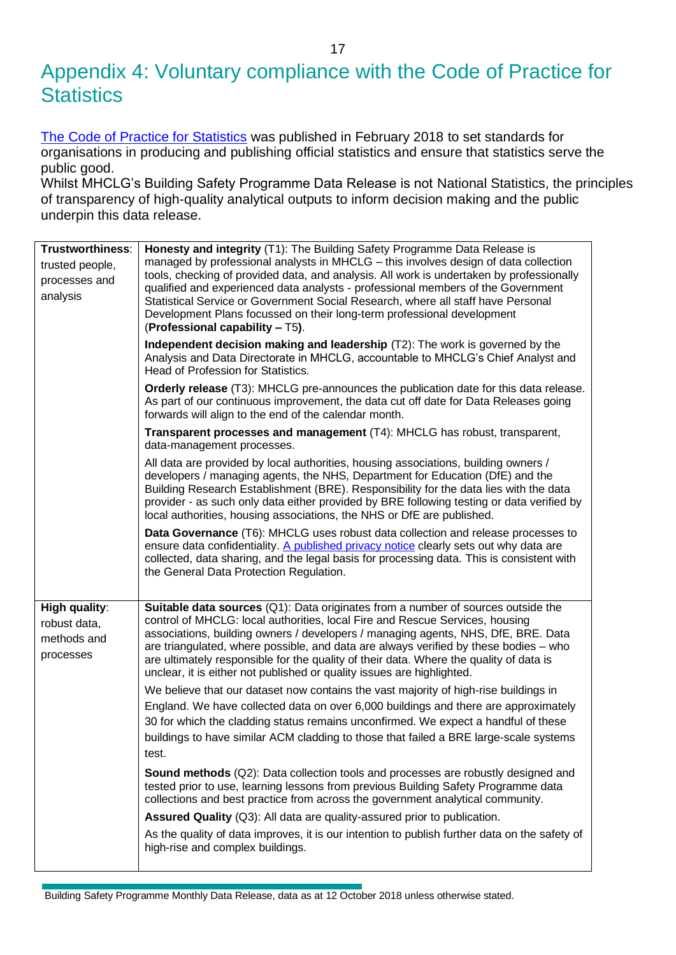## Appendix 4: Voluntary compliance with the Code of Practice for **Statistics**

[The Code of Practice for Statistics](https://www.statisticsauthority.gov.uk/wp-content/uploads/2018/02/Code-of-Practice-for-Statistics.pdf) was published in February 2018 to set standards for organisations in producing and publishing official statistics and ensure that statistics serve the public good.

Whilst MHCLG's Building Safety Programme Data Release is not National Statistics, the principles of transparency of high-quality analytical outputs to inform decision making and the public underpin this data release.

| Trustworthiness:<br>trusted people,<br>processes and<br>analysis | Honesty and integrity (T1): The Building Safety Programme Data Release is<br>managed by professional analysts in MHCLG - this involves design of data collection<br>tools, checking of provided data, and analysis. All work is undertaken by professionally<br>qualified and experienced data analysts - professional members of the Government<br>Statistical Service or Government Social Research, where all staff have Personal<br>Development Plans focussed on their long-term professional development<br>(Professional capability - T5). |
|------------------------------------------------------------------|---------------------------------------------------------------------------------------------------------------------------------------------------------------------------------------------------------------------------------------------------------------------------------------------------------------------------------------------------------------------------------------------------------------------------------------------------------------------------------------------------------------------------------------------------|
|                                                                  | Independent decision making and leadership (T2): The work is governed by the<br>Analysis and Data Directorate in MHCLG, accountable to MHCLG's Chief Analyst and<br>Head of Profession for Statistics.                                                                                                                                                                                                                                                                                                                                            |
|                                                                  | Orderly release (T3): MHCLG pre-announces the publication date for this data release.<br>As part of our continuous improvement, the data cut off date for Data Releases going<br>forwards will align to the end of the calendar month.                                                                                                                                                                                                                                                                                                            |
|                                                                  | Transparent processes and management (T4): MHCLG has robust, transparent,<br>data-management processes.                                                                                                                                                                                                                                                                                                                                                                                                                                           |
|                                                                  | All data are provided by local authorities, housing associations, building owners /<br>developers / managing agents, the NHS, Department for Education (DfE) and the<br>Building Research Establishment (BRE). Responsibility for the data lies with the data<br>provider - as such only data either provided by BRE following testing or data verified by<br>local authorities, housing associations, the NHS or DfE are published.                                                                                                              |
|                                                                  | Data Governance (T6): MHCLG uses robust data collection and release processes to<br>ensure data confidentiality. A published privacy notice clearly sets out why data are<br>collected, data sharing, and the legal basis for processing data. This is consistent with<br>the General Data Protection Regulation.                                                                                                                                                                                                                                 |
| <b>High quality:</b><br>robust data,<br>methods and<br>processes | <b>Suitable data sources</b> $(Q1)$ : Data originates from a number of sources outside the<br>control of MHCLG: local authorities, local Fire and Rescue Services, housing<br>associations, building owners / developers / managing agents, NHS, DfE, BRE. Data<br>are triangulated, where possible, and data are always verified by these bodies - who<br>are ultimately responsible for the quality of their data. Where the quality of data is<br>unclear, it is either not published or quality issues are highlighted.                       |
|                                                                  | We believe that our dataset now contains the vast majority of high-rise buildings in<br>England. We have collected data on over 6,000 buildings and there are approximately<br>30 for which the cladding status remains unconfirmed. We expect a handful of these<br>buildings to have similar ACM cladding to those that failed a BRE large-scale systems<br>test.                                                                                                                                                                               |
|                                                                  | <b>Sound methods</b> (Q2): Data collection tools and processes are robustly designed and<br>tested prior to use, learning lessons from previous Building Safety Programme data<br>collections and best practice from across the government analytical community.                                                                                                                                                                                                                                                                                  |
|                                                                  | Assured Quality (Q3): All data are quality-assured prior to publication.                                                                                                                                                                                                                                                                                                                                                                                                                                                                          |
|                                                                  | As the quality of data improves, it is our intention to publish further data on the safety of<br>high-rise and complex buildings.                                                                                                                                                                                                                                                                                                                                                                                                                 |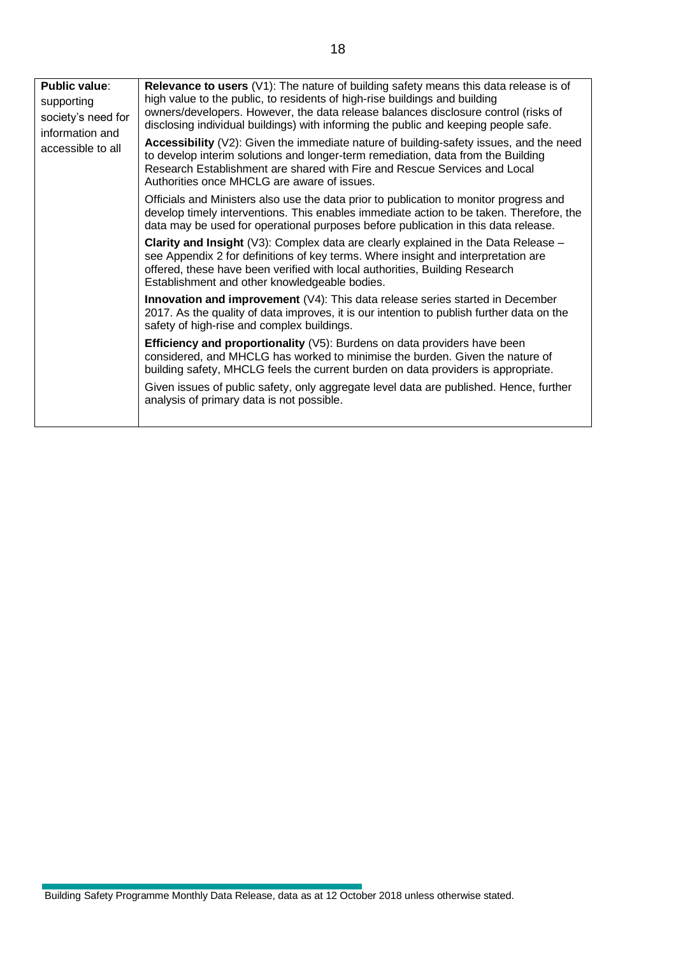| <b>Public value:</b><br>supporting<br>society's need for<br>information and<br>accessible to all | Relevance to users (V1): The nature of building safety means this data release is of<br>high value to the public, to residents of high-rise buildings and building<br>owners/developers. However, the data release balances disclosure control (risks of<br>disclosing individual buildings) with informing the public and keeping people safe.<br>Accessibility $(V2)$ : Given the immediate nature of building-safety issues, and the need<br>to develop interim solutions and longer-term remediation, data from the Building<br>Research Establishment are shared with Fire and Rescue Services and Local<br>Authorities once MHCLG are aware of issues.<br>Officials and Ministers also use the data prior to publication to monitor progress and<br>develop timely interventions. This enables immediate action to be taken. Therefore, the<br>data may be used for operational purposes before publication in this data release.<br><b>Clarity and Insight</b> $(\sqrt{3})$ : Complex data are clearly explained in the Data Release –<br>see Appendix 2 for definitions of key terms. Where insight and interpretation are<br>offered, these have been verified with local authorities, Building Research<br>Establishment and other knowledgeable bodies.<br><b>Innovation and improvement</b> $(V4)$ : This data release series started in December<br>2017. As the quality of data improves, it is our intention to publish further data on the<br>safety of high-rise and complex buildings.<br>Efficiency and proportionality (V5): Burdens on data providers have been<br>considered, and MHCLG has worked to minimise the burden. Given the nature of<br>building safety, MHCLG feels the current burden on data providers is appropriate.<br>Given issues of public safety, only aggregate level data are published. Hence, further<br>analysis of primary data is not possible. |
|--------------------------------------------------------------------------------------------------|--------------------------------------------------------------------------------------------------------------------------------------------------------------------------------------------------------------------------------------------------------------------------------------------------------------------------------------------------------------------------------------------------------------------------------------------------------------------------------------------------------------------------------------------------------------------------------------------------------------------------------------------------------------------------------------------------------------------------------------------------------------------------------------------------------------------------------------------------------------------------------------------------------------------------------------------------------------------------------------------------------------------------------------------------------------------------------------------------------------------------------------------------------------------------------------------------------------------------------------------------------------------------------------------------------------------------------------------------------------------------------------------------------------------------------------------------------------------------------------------------------------------------------------------------------------------------------------------------------------------------------------------------------------------------------------------------------------------------------------------------------------------------------------------------------------------------------------------------------------------------------------------------|
|--------------------------------------------------------------------------------------------------|--------------------------------------------------------------------------------------------------------------------------------------------------------------------------------------------------------------------------------------------------------------------------------------------------------------------------------------------------------------------------------------------------------------------------------------------------------------------------------------------------------------------------------------------------------------------------------------------------------------------------------------------------------------------------------------------------------------------------------------------------------------------------------------------------------------------------------------------------------------------------------------------------------------------------------------------------------------------------------------------------------------------------------------------------------------------------------------------------------------------------------------------------------------------------------------------------------------------------------------------------------------------------------------------------------------------------------------------------------------------------------------------------------------------------------------------------------------------------------------------------------------------------------------------------------------------------------------------------------------------------------------------------------------------------------------------------------------------------------------------------------------------------------------------------------------------------------------------------------------------------------------------------|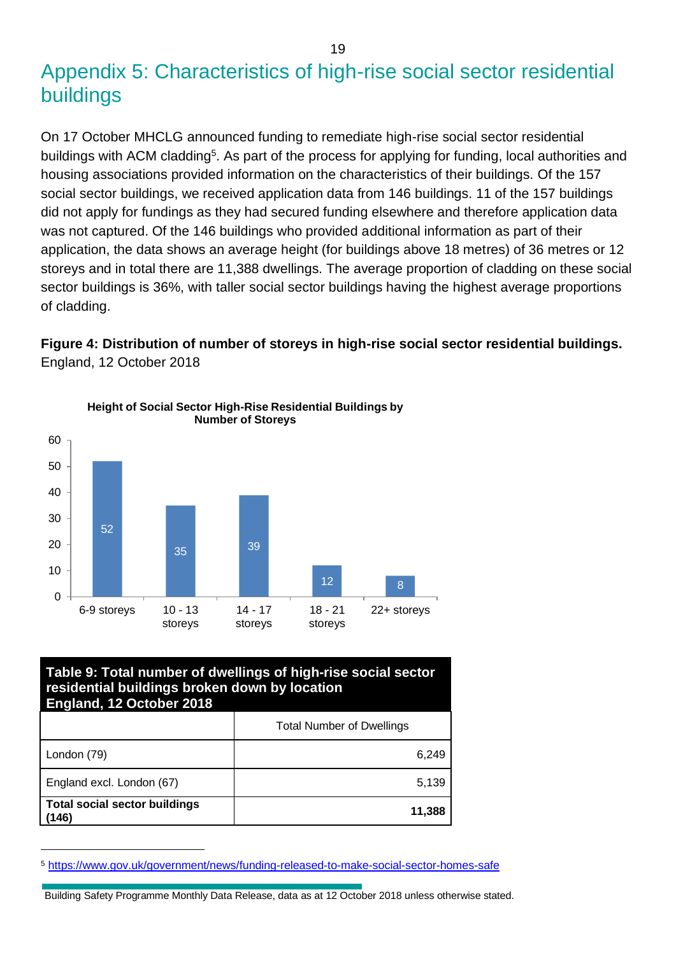## Appendix 5: Characteristics of high-rise social sector residential buildings

On 17 October MHCLG announced funding to remediate high-rise social sector residential buildings with ACM cladding<sup>5</sup>. As part of the process for applying for funding, local authorities and housing associations provided information on the characteristics of their buildings. Of the 157 social sector buildings, we received application data from 146 buildings. 11 of the 157 buildings did not apply for fundings as they had secured funding elsewhere and therefore application data was not captured. Of the 146 buildings who provided additional information as part of their application, the data shows an average height (for buildings above 18 metres) of 36 metres or 12 storeys and in total there are 11,388 dwellings. The average proportion of cladding on these social sector buildings is 36%, with taller social sector buildings having the highest average proportions of cladding.

## **Figure 4: Distribution of number of storeys in high-rise social sector residential buildings.**  England, 12 October 2018



#### **Table 9: Total number of dwellings of high-rise social sector residential buildings broken down by location England, 12 October 2018**

|                                               | <b>Total Number of Dwellings</b> |
|-----------------------------------------------|----------------------------------|
| London (79)                                   | 6.249                            |
| England excl. London (67)                     | 5,139                            |
| <b>Total social sector buildings</b><br>(146) | 11,388                           |

<sup>5</sup> <https://www.gov.uk/government/news/funding-released-to-make-social-sector-homes-safe>

Building Safety Programme Monthly Data Release, data as at 12 October 2018 unless otherwise stated.